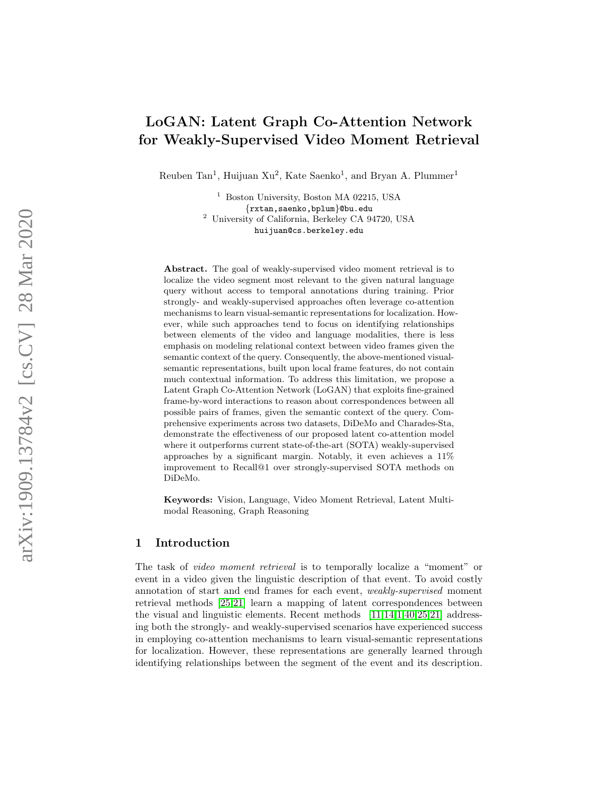# LoGAN: Latent Graph Co-Attention Network for Weakly-Supervised Video Moment Retrieval

Reuben Tan<sup>1</sup>, Huijuan Xu<sup>2</sup>, Kate Saenko<sup>1</sup>, and Bryan A. Plummer<sup>1</sup>

<sup>1</sup> Boston University, Boston MA 02215, USA {rxtan,saenko,bplum}@bu.edu <sup>2</sup> University of California, Berkeley CA 94720, USA huijuan@cs.berkeley.edu

Abstract. The goal of weakly-supervised video moment retrieval is to localize the video segment most relevant to the given natural language query without access to temporal annotations during training. Prior strongly- and weakly-supervised approaches often leverage co-attention mechanisms to learn visual-semantic representations for localization. However, while such approaches tend to focus on identifying relationships between elements of the video and language modalities, there is less emphasis on modeling relational context between video frames given the semantic context of the query. Consequently, the above-mentioned visualsemantic representations, built upon local frame features, do not contain much contextual information. To address this limitation, we propose a Latent Graph Co-Attention Network (LoGAN) that exploits fine-grained frame-by-word interactions to reason about correspondences between all possible pairs of frames, given the semantic context of the query. Comprehensive experiments across two datasets, DiDeMo and Charades-Sta, demonstrate the effectiveness of our proposed latent co-attention model where it outperforms current state-of-the-art (SOTA) weakly-supervised approaches by a significant margin. Notably, it even achieves a 11% improvement to Recall@1 over strongly-supervised SOTA methods on DiDeMo.

Keywords: Vision, Language, Video Moment Retrieval, Latent Multimodal Reasoning, Graph Reasoning

## 1 Introduction

The task of video moment retrieval is to temporally localize a "moment" or event in a video given the linguistic description of that event. To avoid costly annotation of start and end frames for each event, weakly-supervised moment retrieval methods [\[25](#page-15-0)[,21\]](#page-15-1) learn a mapping of latent correspondences between the visual and linguistic elements. Recent methods [\[11,](#page-14-0)[14](#page-14-1)[,1,](#page-14-2)[40,](#page-16-0)[25,](#page-15-0)[21\]](#page-15-1) addressing both the strongly- and weakly-supervised scenarios have experienced success in employing co-attention mechanisms to learn visual-semantic representations for localization. However, these representations are generally learned through identifying relationships between the segment of the event and its description.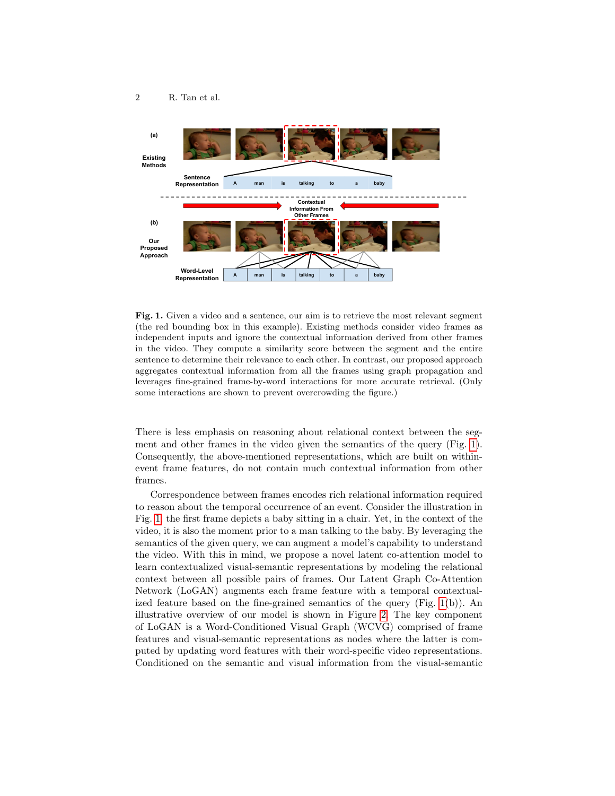

<span id="page-1-0"></span>Fig. 1. Given a video and a sentence, our aim is to retrieve the most relevant segment (the red bounding box in this example). Existing methods consider video frames as independent inputs and ignore the contextual information derived from other frames in the video. They compute a similarity score between the segment and the entire sentence to determine their relevance to each other. In contrast, our proposed approach aggregates contextual information from all the frames using graph propagation and leverages fine-grained frame-by-word interactions for more accurate retrieval. (Only some interactions are shown to prevent overcrowding the figure.)

There is less emphasis on reasoning about relational context between the segment and other frames in the video given the semantics of the query (Fig. [1\)](#page-1-0). Consequently, the above-mentioned representations, which are built on withinevent frame features, do not contain much contextual information from other frames.

Correspondence between frames encodes rich relational information required to reason about the temporal occurrence of an event. Consider the illustration in Fig. [1,](#page-1-0) the first frame depicts a baby sitting in a chair. Yet, in the context of the video, it is also the moment prior to a man talking to the baby. By leveraging the semantics of the given query, we can augment a model's capability to understand the video. With this in mind, we propose a novel latent co-attention model to learn contextualized visual-semantic representations by modeling the relational context between all possible pairs of frames. Our Latent Graph Co-Attention Network (LoGAN) augments each frame feature with a temporal contextualized feature based on the fine-grained semantics of the query (Fig. [1\(](#page-1-0)b)). An illustrative overview of our model is shown in Figure [2.](#page-4-0) The key component of LoGAN is a Word-Conditioned Visual Graph (WCVG) comprised of frame features and visual-semantic representations as nodes where the latter is computed by updating word features with their word-specific video representations. Conditioned on the semantic and visual information from the visual-semantic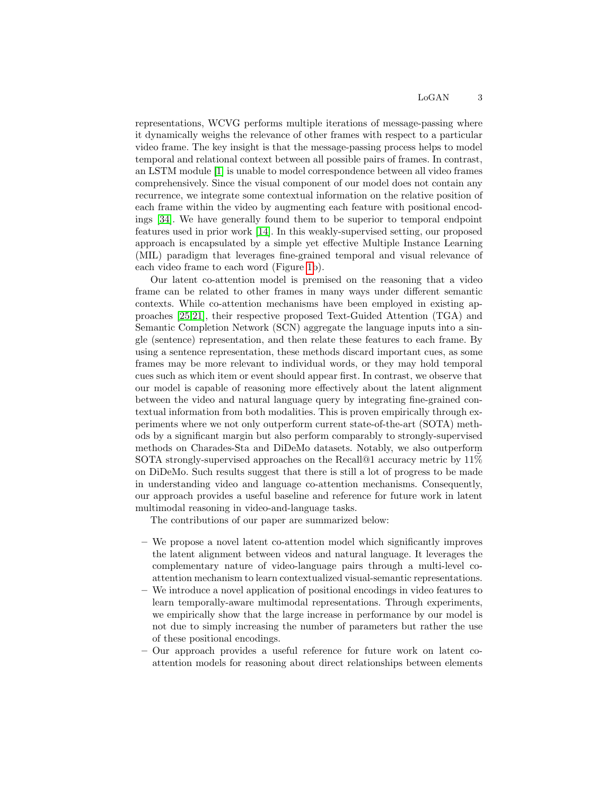representations, WCVG performs multiple iterations of message-passing where it dynamically weighs the relevance of other frames with respect to a particular video frame. The key insight is that the message-passing process helps to model temporal and relational context between all possible pairs of frames. In contrast, an LSTM module [\[1\]](#page-14-2) is unable to model correspondence between all video frames comprehensively. Since the visual component of our model does not contain any recurrence, we integrate some contextual information on the relative position of each frame within the video by augmenting each feature with positional encodings [\[34\]](#page-15-2). We have generally found them to be superior to temporal endpoint features used in prior work [\[14\]](#page-14-1). In this weakly-supervised setting, our proposed approach is encapsulated by a simple yet effective Multiple Instance Learning (MIL) paradigm that leverages fine-grained temporal and visual relevance of each video frame to each word (Figure [1b](#page-1-0)).

Our latent co-attention model is premised on the reasoning that a video frame can be related to other frames in many ways under different semantic contexts. While co-attention mechanisms have been employed in existing approaches [\[25,](#page-15-0)[21\]](#page-15-1), their respective proposed Text-Guided Attention (TGA) and Semantic Completion Network (SCN) aggregate the language inputs into a single (sentence) representation, and then relate these features to each frame. By using a sentence representation, these methods discard important cues, as some frames may be more relevant to individual words, or they may hold temporal cues such as which item or event should appear first. In contrast, we observe that our model is capable of reasoning more effectively about the latent alignment between the video and natural language query by integrating fine-grained contextual information from both modalities. This is proven empirically through experiments where we not only outperform current state-of-the-art (SOTA) methods by a significant margin but also perform comparably to strongly-supervised methods on Charades-Sta and DiDeMo datasets. Notably, we also outperform SOTA strongly-supervised approaches on the Recall@1 accuracy metric by  $11\%$ on DiDeMo. Such results suggest that there is still a lot of progress to be made in understanding video and language co-attention mechanisms. Consequently, our approach provides a useful baseline and reference for future work in latent multimodal reasoning in video-and-language tasks.

The contributions of our paper are summarized below:

- We propose a novel latent co-attention model which significantly improves the latent alignment between videos and natural language. It leverages the complementary nature of video-language pairs through a multi-level coattention mechanism to learn contextualized visual-semantic representations.
- We introduce a novel application of positional encodings in video features to learn temporally-aware multimodal representations. Through experiments, we empirically show that the large increase in performance by our model is not due to simply increasing the number of parameters but rather the use of these positional encodings.
- Our approach provides a useful reference for future work on latent coattention models for reasoning about direct relationships between elements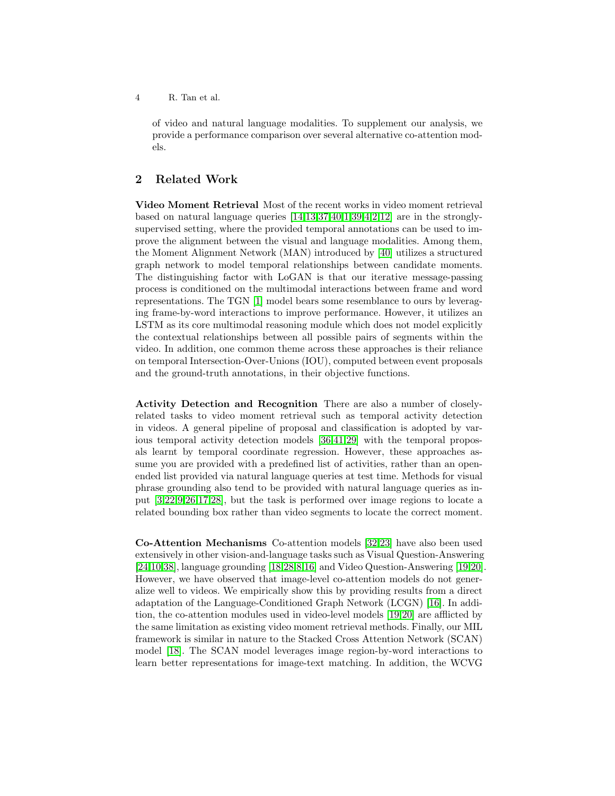of video and natural language modalities. To supplement our analysis, we provide a performance comparison over several alternative co-attention models.

# 2 Related Work

Video Moment Retrieval Most of the recent works in video moment retrieval based on natural language queries  $[14,13,37,40,1,39,4,2,12]$  $[14,13,37,40,1,39,4,2,12]$  $[14,13,37,40,1,39,4,2,12]$  $[14,13,37,40,1,39,4,2,12]$  $[14,13,37,40,1,39,4,2,12]$  $[14,13,37,40,1,39,4,2,12]$  $[14,13,37,40,1,39,4,2,12]$  $[14,13,37,40,1,39,4,2,12]$  $[14,13,37,40,1,39,4,2,12]$  are in the stronglysupervised setting, where the provided temporal annotations can be used to improve the alignment between the visual and language modalities. Among them, the Moment Alignment Network (MAN) introduced by [\[40\]](#page-16-0) utilizes a structured graph network to model temporal relationships between candidate moments. The distinguishing factor with LoGAN is that our iterative message-passing process is conditioned on the multimodal interactions between frame and word representations. The TGN [\[1\]](#page-14-2) model bears some resemblance to ours by leveraging frame-by-word interactions to improve performance. However, it utilizes an LSTM as its core multimodal reasoning module which does not model explicitly the contextual relationships between all possible pairs of segments within the video. In addition, one common theme across these approaches is their reliance on temporal Intersection-Over-Unions (IOU), computed between event proposals and the ground-truth annotations, in their objective functions.

Activity Detection and Recognition There are also a number of closelyrelated tasks to video moment retrieval such as temporal activity detection in videos. A general pipeline of proposal and classification is adopted by various temporal activity detection models [\[36](#page-16-3)[,41,](#page-16-4)[29\]](#page-15-3) with the temporal proposals learnt by temporal coordinate regression. However, these approaches assume you are provided with a predefined list of activities, rather than an openended list provided via natural language queries at test time. Methods for visual phrase grounding also tend to be provided with natural language queries as input [\[3](#page-14-7)[,22,](#page-15-4)[9,](#page-14-8)[26,](#page-15-5)[17](#page-14-9)[,28\]](#page-15-6), but the task is performed over image regions to locate a related bounding box rather than video segments to locate the correct moment.

Co-Attention Mechanisms Co-attention models [\[32,](#page-15-7)[23\]](#page-15-8) have also been used extensively in other vision-and-language tasks such as Visual Question-Answering [\[24](#page-15-9)[,10](#page-14-10)[,38\]](#page-16-5), language grounding [\[18,](#page-15-10)[28,](#page-15-6)[8](#page-14-11)[,16\]](#page-14-12) and Video Question-Answering [\[19,](#page-15-11)[20\]](#page-15-12). However, we have observed that image-level co-attention models do not generalize well to videos. We empirically show this by providing results from a direct adaptation of the Language-Conditioned Graph Network (LCGN) [\[16\]](#page-14-12). In addition, the co-attention modules used in video-level models [\[19,](#page-15-11)[20\]](#page-15-12) are afflicted by the same limitation as existing video moment retrieval methods. Finally, our MIL framework is similar in nature to the Stacked Cross Attention Network (SCAN) model [\[18\]](#page-15-10). The SCAN model leverages image region-by-word interactions to learn better representations for image-text matching. In addition, the WCVG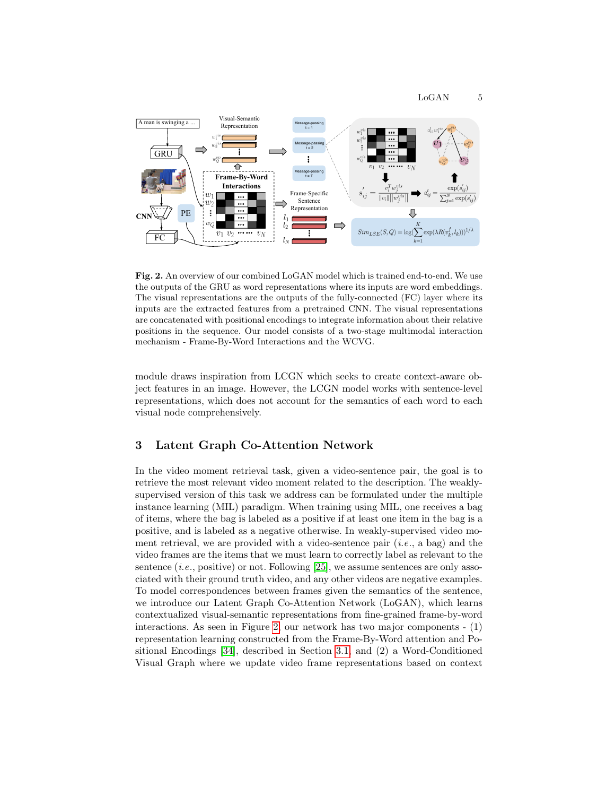

<span id="page-4-0"></span>Fig. 2. An overview of our combined LoGAN model which is trained end-to-end. We use the outputs of the GRU as word representations where its inputs are word embeddings. The visual representations are the outputs of the fully-connected (FC) layer where its inputs are the extracted features from a pretrained CNN. The visual representations are concatenated with positional encodings to integrate information about their relative positions in the sequence. Our model consists of a two-stage multimodal interaction mechanism - Frame-By-Word Interactions and the WCVG.

module draws inspiration from LCGN which seeks to create context-aware object features in an image. However, the LCGN model works with sentence-level representations, which does not account for the semantics of each word to each visual node comprehensively.

## 3 Latent Graph Co-Attention Network

In the video moment retrieval task, given a video-sentence pair, the goal is to retrieve the most relevant video moment related to the description. The weaklysupervised version of this task we address can be formulated under the multiple instance learning (MIL) paradigm. When training using MIL, one receives a bag of items, where the bag is labeled as a positive if at least one item in the bag is a positive, and is labeled as a negative otherwise. In weakly-supervised video moment retrieval, we are provided with a video-sentence pair  $(i.e., a bag)$  and the video frames are the items that we must learn to correctly label as relevant to the sentence  $(i.e.,$  positive) or not. Following [\[25\]](#page-15-0), we assume sentences are only associated with their ground truth video, and any other videos are negative examples. To model correspondences between frames given the semantics of the sentence, we introduce our Latent Graph Co-Attention Network (LoGAN), which learns contextualized visual-semantic representations from fine-grained frame-by-word interactions. As seen in Figure [2,](#page-4-0) our network has two major components - (1) representation learning constructed from the Frame-By-Word attention and Positional Encodings [\[34\]](#page-15-2), described in Section [3.1,](#page-5-0) and (2) a Word-Conditioned Visual Graph where we update video frame representations based on context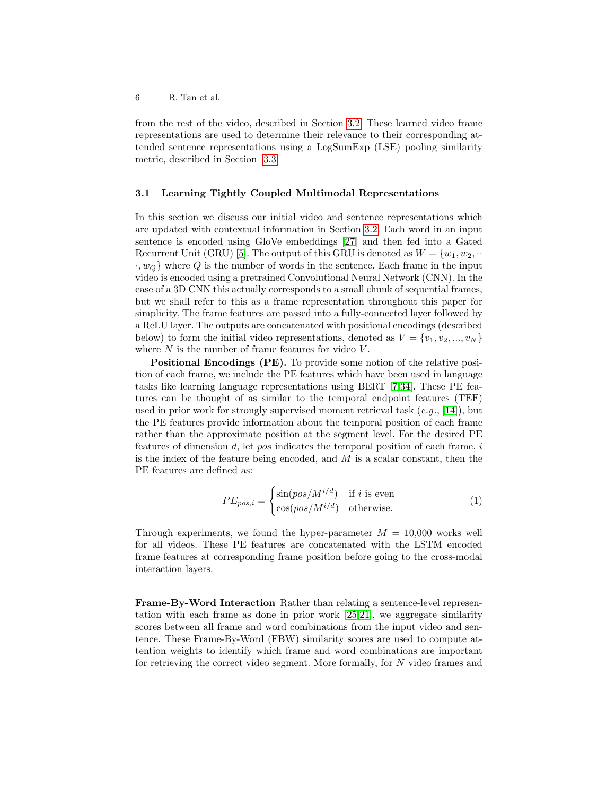from the rest of the video, described in Section [3.2.](#page-6-0) These learned video frame representations are used to determine their relevance to their corresponding attended sentence representations using a LogSumExp (LSE) pooling similarity metric, described in Section [3.3.](#page-7-0)

#### <span id="page-5-0"></span>3.1 Learning Tightly Coupled Multimodal Representations

In this section we discuss our initial video and sentence representations which are updated with contextual information in Section [3.2.](#page-6-0) Each word in an input sentence is encoded using GloVe embeddings [\[27\]](#page-15-13) and then fed into a Gated Recurrent Unit (GRU) [\[5\]](#page-14-13). The output of this GRU is denoted as  $W = \{w_1, w_2, \cdots\}$  $\cdot, w_Q$  where Q is the number of words in the sentence. Each frame in the input video is encoded using a pretrained Convolutional Neural Network (CNN). In the case of a 3D CNN this actually corresponds to a small chunk of sequential frames, but we shall refer to this as a frame representation throughout this paper for simplicity. The frame features are passed into a fully-connected layer followed by a ReLU layer. The outputs are concatenated with positional encodings (described below) to form the initial video representations, denoted as  $V = \{v_1, v_2, ..., v_N\}$ where  $N$  is the number of frame features for video  $V$ .

Positional Encodings (PE). To provide some notion of the relative position of each frame, we include the PE features which have been used in language tasks like learning language representations using BERT [\[7,](#page-14-14)[34\]](#page-15-2). These PE features can be thought of as similar to the temporal endpoint features (TEF) used in prior work for strongly supervised moment retrieval task  $(e.g., [14])$  $(e.g., [14])$  $(e.g., [14])$ , but the PE features provide information about the temporal position of each frame rather than the approximate position at the segment level. For the desired PE features of dimension  $d$ , let pos indicates the temporal position of each frame,  $i$ is the index of the feature being encoded, and  $M$  is a scalar constant, then the PE features are defined as:

$$
PE_{pos,i} = \begin{cases} \sin(pos/M^{i/d}) & \text{if } i \text{ is even} \\ \cos(pos/M^{i/d}) & \text{otherwise.} \end{cases}
$$
 (1)

Through experiments, we found the hyper-parameter  $M = 10,000$  works well for all videos. These PE features are concatenated with the LSTM encoded frame features at corresponding frame position before going to the cross-modal interaction layers.

<span id="page-5-1"></span>Frame-By-Word Interaction Rather than relating a sentence-level representation with each frame as done in prior work [\[25](#page-15-0)[,21\]](#page-15-1), we aggregate similarity scores between all frame and word combinations from the input video and sentence. These Frame-By-Word (FBW) similarity scores are used to compute attention weights to identify which frame and word combinations are important for retrieving the correct video segment. More formally, for N video frames and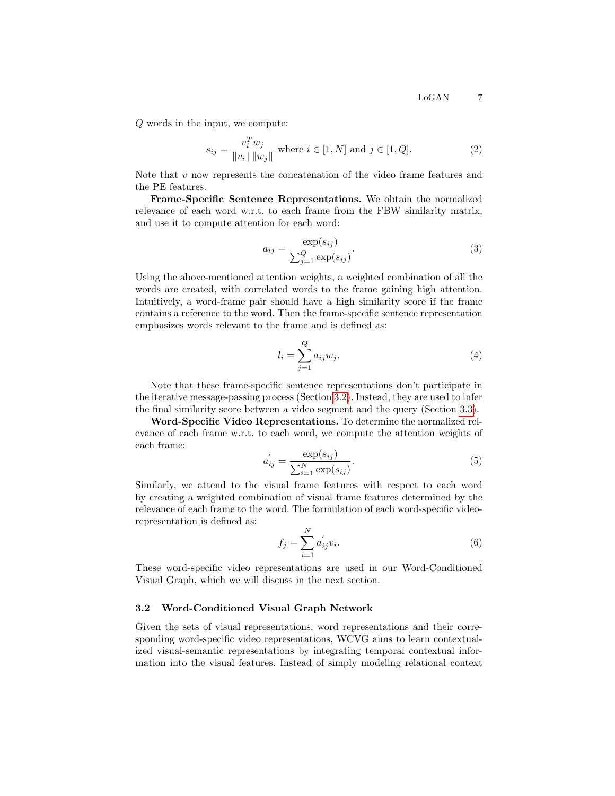Q words in the input, we compute:

<span id="page-6-1"></span>
$$
s_{ij} = \frac{v_i^T w_j}{\|v_i\| \|w_j\|} \text{ where } i \in [1, N] \text{ and } j \in [1, Q]. \tag{2}
$$

Note that  $v$  now represents the concatenation of the video frame features and the PE features.

Frame-Specific Sentence Representations. We obtain the normalized relevance of each word w.r.t. to each frame from the FBW similarity matrix, and use it to compute attention for each word:

<span id="page-6-2"></span>
$$
a_{ij} = \frac{\exp(s_{ij})}{\sum_{j=1}^{Q} \exp(s_{ij})}.
$$
\n(3)

Using the above-mentioned attention weights, a weighted combination of all the words are created, with correlated words to the frame gaining high attention. Intuitively, a word-frame pair should have a high similarity score if the frame contains a reference to the word. Then the frame-specific sentence representation emphasizes words relevant to the frame and is defined as:

<span id="page-6-3"></span>
$$
l_i = \sum_{j=1}^{Q} a_{ij} w_j.
$$
\n
$$
(4)
$$

Note that these frame-specific sentence representations don't participate in the iterative message-passing process (Section [3.2\)](#page-6-0). Instead, they are used to infer the final similarity score between a video segment and the query (Section [3.3\)](#page-7-0).

Word-Specific Video Representations. To determine the normalized relevance of each frame w.r.t. to each word, we compute the attention weights of each frame:

$$
a'_{ij} = \frac{\exp(s_{ij})}{\sum_{i=1}^{N} \exp(s_{ij})}.
$$
 (5)

Similarly, we attend to the visual frame features with respect to each word by creating a weighted combination of visual frame features determined by the relevance of each frame to the word. The formulation of each word-specific videorepresentation is defined as:

$$
f_j = \sum_{i=1}^{N} a'_{ij} v_i.
$$
 (6)

These word-specific video representations are used in our Word-Conditioned Visual Graph, which we will discuss in the next section.

#### <span id="page-6-0"></span>3.2 Word-Conditioned Visual Graph Network

Given the sets of visual representations, word representations and their corresponding word-specific video representations, WCVG aims to learn contextualized visual-semantic representations by integrating temporal contextual information into the visual features. Instead of simply modeling relational context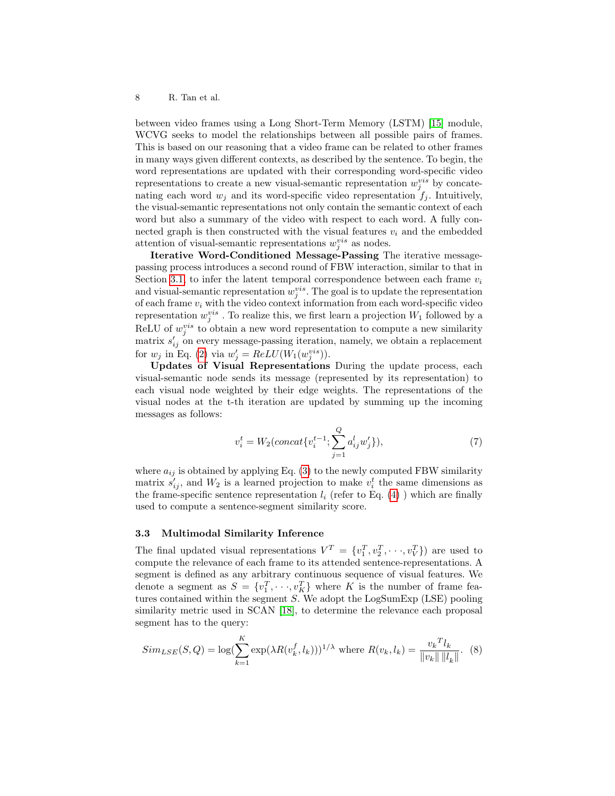between video frames using a Long Short-Term Memory (LSTM) [\[15\]](#page-14-15) module, WCVG seeks to model the relationships between all possible pairs of frames. This is based on our reasoning that a video frame can be related to other frames in many ways given different contexts, as described by the sentence. To begin, the word representations are updated with their corresponding word-specific video representations to create a new visual-semantic representation  $w_j^{vis}$  by concatenating each word  $w_i$  and its word-specific video representation  $f_i$ . Intuitively, the visual-semantic representations not only contain the semantic context of each word but also a summary of the video with respect to each word. A fully connected graph is then constructed with the visual features  $v_i$  and the embedded attention of visual-semantic representations  $w_j^{vis}$  as nodes.

Iterative Word-Conditioned Message-Passing The iterative messagepassing process introduces a second round of FBW interaction, similar to that in Section [3.1,](#page-5-1) to infer the latent temporal correspondence between each frame  $v_i$ and visual-semantic representation  $w_j^{vis}$ . The goal is to update the representation of each frame  $v_i$  with the video context information from each word-specific video representation  $w_j^{vis}$ . To realize this, we first learn a projection  $W_1$  followed by a ReLU of  $w_j^{vis}$  to obtain a new word representation to compute a new similarity matrix  $s'_{ij}$  on every message-passing iteration, namely, we obtain a replacement for  $w_j$  in Eq. [\(2\)](#page-6-1) via  $w'_j = ReLU(W_1(w_j^{vis}))$ .

Updates of Visual Representations During the update process, each visual-semantic node sends its message (represented by its representation) to each visual node weighted by their edge weights. The representations of the visual nodes at the t-th iteration are updated by summing up the incoming messages as follows:

$$
v_i^t = W_2 (concat\{v_i^{t-1}; \sum_{j=1}^{Q} a_{ij}^l w_j'\}), \tag{7}
$$

where  $a_{ij}$  is obtained by applying Eq. [\(3\)](#page-6-2) to the newly computed FBW similarity matrix  $s'_{ij}$ , and  $W_2$  is a learned projection to make  $v_i^t$  the same dimensions as the frame-specific sentence representation  $l_i$  (refer to Eq. [\(4\)](#page-6-3)) which are finally used to compute a sentence-segment similarity score.

#### <span id="page-7-0"></span>3.3 Multimodal Similarity Inference

The final updated visual representations  $V^T = \{v_1^T, v_2^T, \dots, v_V^T\}$  are used to compute the relevance of each frame to its attended sentence-representations. A segment is defined as any arbitrary continuous sequence of visual features. We denote a segment as  $S = \{v_1^T, \dots, v_K^T\}$  where K is the number of frame features contained within the segment  $S$ . We adopt the LogSumExp (LSE) pooling similarity metric used in SCAN [\[18\]](#page-15-10), to determine the relevance each proposal segment has to the query:

$$
Sim_{LSE}(S, Q) = \log(\sum_{k=1}^{K} \exp(\lambda R(v_k^f, l_k)))^{1/\lambda} \text{ where } R(v_k, l_k) = \frac{v_k^T l_k}{\|v_k\| \|l_k\|}.
$$
 (8)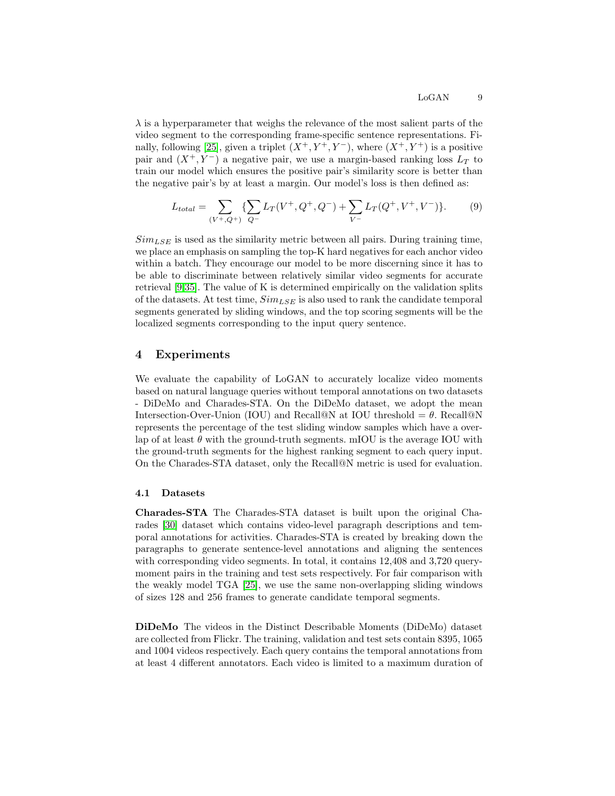$\lambda$  is a hyperparameter that weighs the relevance of the most salient parts of the video segment to the corresponding frame-specific sentence representations. Fi-nally, following [\[25\]](#page-15-0), given a triplet  $(X^+, Y^+, Y^-)$ , where  $(X^+, Y^+)$  is a positive pair and  $(X^+, Y^-)$  a negative pair, we use a margin-based ranking loss  $L_T$  to train our model which ensures the positive pair's similarity score is better than the negative pair's by at least a margin. Our model's loss is then defined as:

<span id="page-8-0"></span>
$$
L_{total} = \sum_{(V^+,Q^+)} \{ \sum_{Q^-} L_T(V^+,Q^+,Q^-) + \sum_{V^-} L_T(Q^+,V^+,V^-) \}. \tag{9}
$$

 $Sim_{LSE}$  is used as the similarity metric between all pairs. During training time, we place an emphasis on sampling the top-K hard negatives for each anchor video within a batch. They encourage our model to be more discerning since it has to be able to discriminate between relatively similar video segments for accurate retrieval [\[9](#page-14-8)[,35\]](#page-15-14). The value of K is determined empirically on the validation splits of the datasets. At test time,  $Sim_{LSE}$  is also used to rank the candidate temporal segments generated by sliding windows, and the top scoring segments will be the localized segments corresponding to the input query sentence.

## 4 Experiments

We evaluate the capability of LoGAN to accurately localize video moments based on natural language queries without temporal annotations on two datasets - DiDeMo and Charades-STA. On the DiDeMo dataset, we adopt the mean Intersection-Over-Union (IOU) and Recall@N at IOU threshold =  $\theta$ . Recall@N represents the percentage of the test sliding window samples which have a overlap of at least  $\theta$  with the ground-truth segments. mIOU is the average IOU with the ground-truth segments for the highest ranking segment to each query input. On the Charades-STA dataset, only the Recall@N metric is used for evaluation.

#### 4.1 Datasets

Charades-STA The Charades-STA dataset is built upon the original Charades [\[30\]](#page-15-15) dataset which contains video-level paragraph descriptions and temporal annotations for activities. Charades-STA is created by breaking down the paragraphs to generate sentence-level annotations and aligning the sentences with corresponding video segments. In total, it contains 12,408 and 3,720 querymoment pairs in the training and test sets respectively. For fair comparison with the weakly model TGA [\[25\]](#page-15-0), we use the same non-overlapping sliding windows of sizes 128 and 256 frames to generate candidate temporal segments.

DiDeMo The videos in the Distinct Describable Moments (DiDeMo) dataset are collected from Flickr. The training, validation and test sets contain 8395, 1065 and 1004 videos respectively. Each query contains the temporal annotations from at least 4 different annotators. Each video is limited to a maximum duration of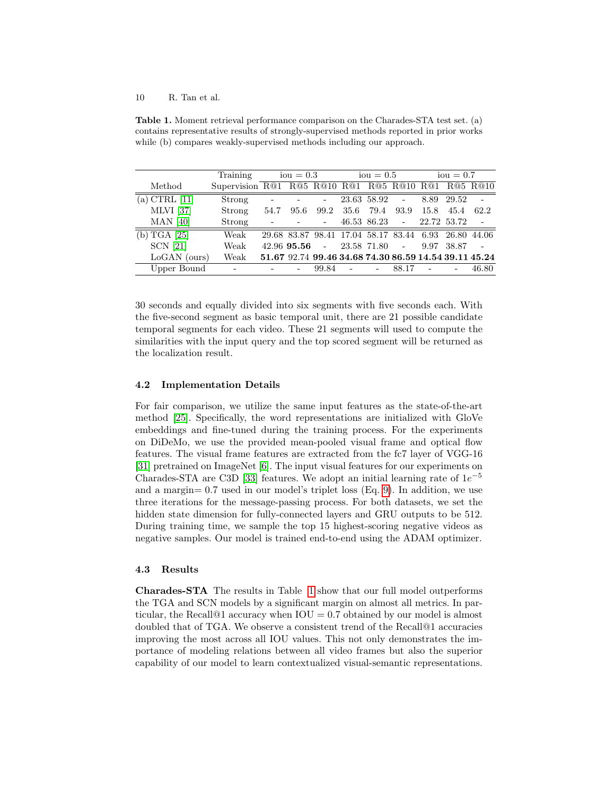<span id="page-9-0"></span>Table 1. Moment retrieval performance comparison on the Charades-STA test set. (a) contains representative results of strongly-supervised methods reported in prior works while (b) compares weakly-supervised methods including our approach.

|                  | Training        |                          | $iou = 0.3$     |                                                       |        | $iou = 0.5$ |                                |             | $iou = 0.7$ |       |
|------------------|-----------------|--------------------------|-----------------|-------------------------------------------------------|--------|-------------|--------------------------------|-------------|-------------|-------|
| Method           | Supervision R@1 |                          |                 | R@5 R@10 R@1 R@5 R@10 R@1 R@5 R@10                    |        |             |                                |             |             |       |
| (a) CTRL [11]    | Strong          | $\overline{\phantom{a}}$ |                 | ۰                                                     |        | 23.63 58.92 | $\sim$                         |             | 8.89 29.52  |       |
| <b>MLVI</b> [37] | Strong          | 54.7                     | 95.6            | 99.2                                                  | 35.6   | 79.4        | 93.9                           | 15.8        | 45.4        | 62.2  |
| $MAN$ [40]       | Strong          |                          |                 | $\overline{\phantom{a}}$                              |        |             | 46.53 86.23 -                  | 22.72 53.72 |             |       |
| (b) TGA [25]     | Weak            |                          |                 | 29.68 83.87 98.41 17.04 58.17 83.44 6.93 26.80        |        |             |                                |             |             | 44.06 |
| <b>SCN</b> [21]  | Weak            |                          | $42.96$ 95.56 - |                                                       |        | 23.58 71.80 | $\alpha$ , $\alpha$ , $\alpha$ | 9.97        | 38.87       |       |
| $LoGAN$ (ours)   | Weak            |                          |                 | 51.67 92.74 99.46 34.68 74.30 86.59 14.54 39.11 45.24 |        |             |                                |             |             |       |
| Upper Bound      |                 |                          |                 | 99.84                                                 | $\sim$ |             | 88.17                          |             |             | 46.80 |

30 seconds and equally divided into six segments with five seconds each. With the five-second segment as basic temporal unit, there are 21 possible candidate temporal segments for each video. These 21 segments will used to compute the similarities with the input query and the top scored segment will be returned as the localization result.

## 4.2 Implementation Details

For fair comparison, we utilize the same input features as the state-of-the-art method [\[25\]](#page-15-0). Specifically, the word representations are initialized with GloVe embeddings and fine-tuned during the training process. For the experiments on DiDeMo, we use the provided mean-pooled visual frame and optical flow features. The visual frame features are extracted from the fc7 layer of VGG-16 [\[31\]](#page-15-16) pretrained on ImageNet [\[6\]](#page-14-16). The input visual features for our experiments on Charades-STA are C3D [\[33\]](#page-15-17) features. We adopt an initial learning rate of  $1e^{-5}$ and a margin= 0.7 used in our model's triplet loss (Eq. [9\)](#page-8-0). In addition, we use three iterations for the message-passing process. For both datasets, we set the hidden state dimension for fully-connected layers and GRU outputs to be 512. During training time, we sample the top 15 highest-scoring negative videos as negative samples. Our model is trained end-to-end using the ADAM optimizer.

#### 4.3 Results

Charades-STA The results in Table [1](#page-9-0) show that our full model outperforms the TGA and SCN models by a significant margin on almost all metrics. In particular, the Recall<sup> $@1$ </sup> accuracy when  $IOU = 0.7$  obtained by our model is almost doubled that of TGA. We observe a consistent trend of the Recall@1 accuracies improving the most across all IOU values. This not only demonstrates the importance of modeling relations between all video frames but also the superior capability of our model to learn contextualized visual-semantic representations.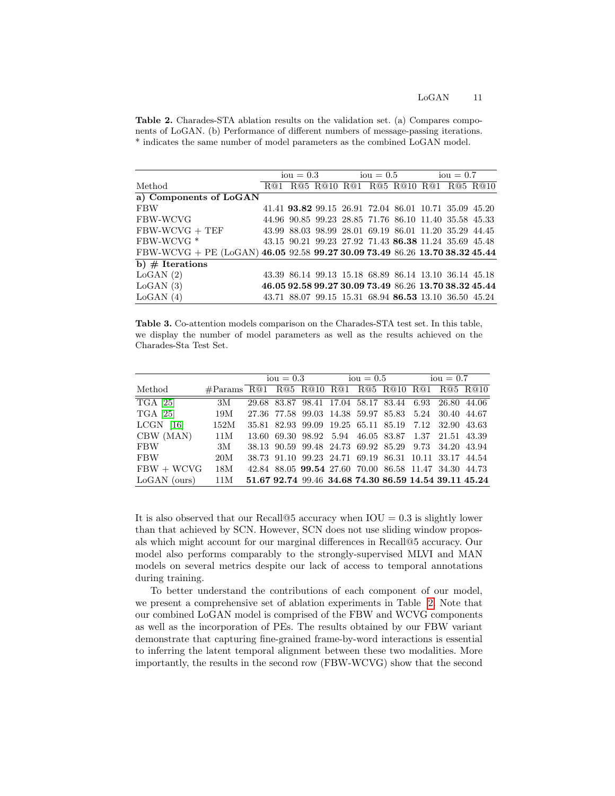<span id="page-10-0"></span>Table 2. Charades-STA ablation results on the validation set. (a) Compares components of LoGAN. (b) Performance of different numbers of message-passing iterations. \* indicates the same number of model parameters as the combined LoGAN model.

|                                                                             | $iou = 0.3$ |  | $i \text{ou} = 0.5$ $i \text{ou} = 0.7$ |  |  |  |  |                                                       |  |
|-----------------------------------------------------------------------------|-------------|--|-----------------------------------------|--|--|--|--|-------------------------------------------------------|--|
| Method                                                                      |             |  |                                         |  |  |  |  | R@1 R@5 R@10 R@1 R@5 R@10 R@1 R@5 R@10                |  |
| a) Components of LoGAN                                                      |             |  |                                         |  |  |  |  |                                                       |  |
| <b>FBW</b>                                                                  |             |  |                                         |  |  |  |  | 41.41 93.82 99.15 26.91 72.04 86.01 10.71 35.09 45.20 |  |
| FBW-WCVG                                                                    |             |  |                                         |  |  |  |  | 44.96 90.85 99.23 28.85 71.76 86.10 11.40 35.58 45.33 |  |
| $FBW-WCVG + TEF$                                                            |             |  |                                         |  |  |  |  | 43.99 88.03 98.99 28.01 69.19 86.01 11.20 35.29 44.45 |  |
| FBW-WCVG <sup>*</sup>                                                       |             |  |                                         |  |  |  |  | 43.15 90.21 99.23 27.92 71.43 86.38 11.24 35.69 45.48 |  |
| FBW-WCVG + PE (LoGAN) 46.05 92.58 99.27 30.09 73.49 86.26 13.70 38.32 45.44 |             |  |                                         |  |  |  |  |                                                       |  |
| b) $#$ Iterations                                                           |             |  |                                         |  |  |  |  |                                                       |  |
| LoGAN(2)                                                                    |             |  |                                         |  |  |  |  | 43.39 86.14 99.13 15.18 68.89 86.14 13.10 36.14 45.18 |  |
| LoGAN(3)                                                                    |             |  |                                         |  |  |  |  | 46.05 92.58 99.27 30.09 73.49 86.26 13.70 38.32 45.44 |  |
| LoGAN(4)                                                                    |             |  |                                         |  |  |  |  | 43.71 88.07 99.15 15.31 68.94 86.53 13.10 36.50 45.24 |  |
|                                                                             |             |  |                                         |  |  |  |  |                                                       |  |

<span id="page-10-1"></span>Table 3. Co-attention models comparison on the Charades-STA test set. In this table, we display the number of model parameters as well as the results achieved on the Charades-Sta Test Set.

|                     |                                                |  |  | $iou = 0.3$ $iou = 0.5$ $iou = 0.7$ |  |  |                                                       |  |  |  |
|---------------------|------------------------------------------------|--|--|-------------------------------------|--|--|-------------------------------------------------------|--|--|--|
| Method              | #Params R@1 R@5 R@10 R@1 R@5 R@10 R@1 R@5 R@10 |  |  |                                     |  |  |                                                       |  |  |  |
| $\overline{GA[25]}$ | 3M                                             |  |  |                                     |  |  | 29.68 83.87 98.41 17.04 58.17 83.44 6.93 26.80 44.06  |  |  |  |
| TGA [25]            | 19M                                            |  |  |                                     |  |  | 27.36 77.58 99.03 14.38 59.97 85.83 5.24 30.40 44.67  |  |  |  |
| $LCGN$ [16]         | 152M                                           |  |  |                                     |  |  | 35.81 82.93 99.09 19.25 65.11 85.19 7.12 32.90 43.63  |  |  |  |
| CBW (MAN)           | 11M                                            |  |  |                                     |  |  | 13.60 69.30 98.92 5.94 46.05 83.87 1.37 21.51 43.39   |  |  |  |
| FBW                 | 3М                                             |  |  |                                     |  |  | 38.13 90.59 99.48 24.73 69.92 85.29 9.73 34.20 43.94  |  |  |  |
| <b>FBW</b>          | 20M                                            |  |  |                                     |  |  | 38.73 91.10 99.23 24.71 69.19 86.31 10.11 33.17 44.54 |  |  |  |
| $FBW + WCVG$        | 18M                                            |  |  |                                     |  |  | 42.84 88.05 99.54 27.60 70.00 86.58 11.47 34.30 44.73 |  |  |  |
| $LoGAN$ (ours)      | 11M                                            |  |  |                                     |  |  | 51.67 92.74 99.46 34.68 74.30 86.59 14.54 39.11 45.24 |  |  |  |

It is also observed that our Recall@5 accuracy when  $IOU = 0.3$  is slightly lower than that achieved by SCN. However, SCN does not use sliding window proposals which might account for our marginal differences in Recall@5 accuracy. Our model also performs comparably to the strongly-supervised MLVI and MAN models on several metrics despite our lack of access to temporal annotations during training.

To better understand the contributions of each component of our model, we present a comprehensive set of ablation experiments in Table [2.](#page-10-0) Note that our combined LoGAN model is comprised of the FBW and WCVG components as well as the incorporation of PEs. The results obtained by our FBW variant demonstrate that capturing fine-grained frame-by-word interactions is essential to inferring the latent temporal alignment between these two modalities. More importantly, the results in the second row (FBW-WCVG) show that the second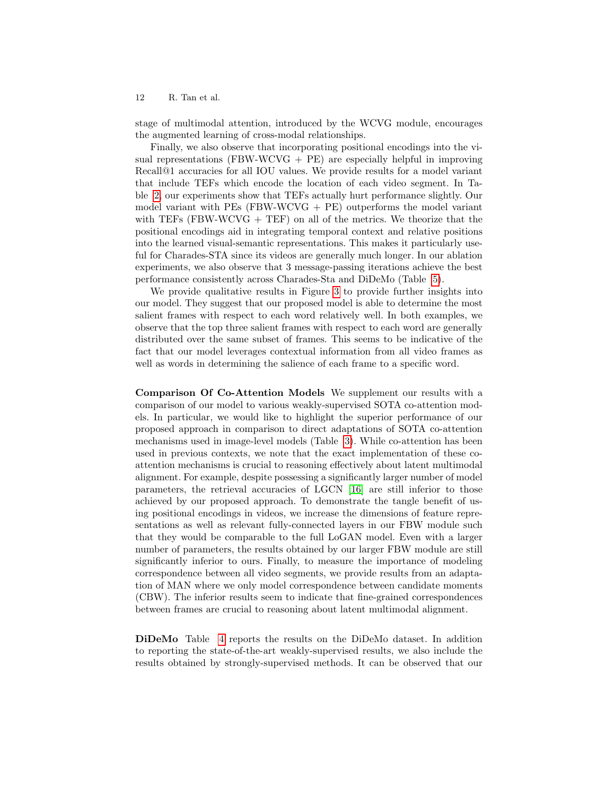stage of multimodal attention, introduced by the WCVG module, encourages the augmented learning of cross-modal relationships.

Finally, we also observe that incorporating positional encodings into the visual representations (FBW-WCVG  $+$  PE) are especially helpful in improving Recall@1 accuracies for all IOU values. We provide results for a model variant that include TEFs which encode the location of each video segment. In Table [2,](#page-10-0) our experiments show that TEFs actually hurt performance slightly. Our model variant with  $PEs$  (FBW-WCVG  $+$  PE) outperforms the model variant with TEFs (FBW-WCVG  $+$  TEF) on all of the metrics. We theorize that the positional encodings aid in integrating temporal context and relative positions into the learned visual-semantic representations. This makes it particularly useful for Charades-STA since its videos are generally much longer. In our ablation experiments, we also observe that 3 message-passing iterations achieve the best performance consistently across Charades-Sta and DiDeMo (Table [5\)](#page-12-0).

We provide qualitative results in Figure [3](#page-13-0) to provide further insights into our model. They suggest that our proposed model is able to determine the most salient frames with respect to each word relatively well. In both examples, we observe that the top three salient frames with respect to each word are generally distributed over the same subset of frames. This seems to be indicative of the fact that our model leverages contextual information from all video frames as well as words in determining the salience of each frame to a specific word.

Comparison Of Co-Attention Models We supplement our results with a comparison of our model to various weakly-supervised SOTA co-attention models. In particular, we would like to highlight the superior performance of our proposed approach in comparison to direct adaptations of SOTA co-attention mechanisms used in image-level models (Table [3\)](#page-10-1). While co-attention has been used in previous contexts, we note that the exact implementation of these coattention mechanisms is crucial to reasoning effectively about latent multimodal alignment. For example, despite possessing a significantly larger number of model parameters, the retrieval accuracies of LGCN [\[16\]](#page-14-12) are still inferior to those achieved by our proposed approach. To demonstrate the tangle benefit of using positional encodings in videos, we increase the dimensions of feature representations as well as relevant fully-connected layers in our FBW module such that they would be comparable to the full LoGAN model. Even with a larger number of parameters, the results obtained by our larger FBW module are still significantly inferior to ours. Finally, to measure the importance of modeling correspondence between all video segments, we provide results from an adaptation of MAN where we only model correspondence between candidate moments (CBW). The inferior results seem to indicate that fine-grained correspondences between frames are crucial to reasoning about latent multimodal alignment.

DiDeMo Table [4](#page-12-1) reports the results on the DiDeMo dataset. In addition to reporting the state-of-the-art weakly-supervised results, we also include the results obtained by strongly-supervised methods. It can be observed that our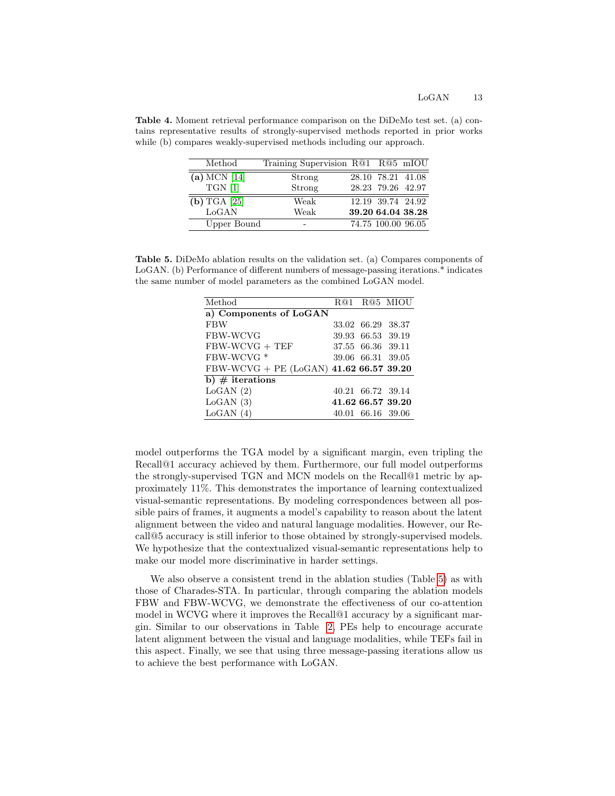<span id="page-12-1"></span>Table 4. Moment retrieval performance comparison on the DiDeMo test set. (a) contains representative results of strongly-supervised methods reported in prior works while (b) compares weakly-supervised methods including our approach.

| Method         | Training Supervision R@1 R@5 mIOU |                    |  |
|----------------|-----------------------------------|--------------------|--|
| (a) MCN $[14]$ | Strong                            | 28.10 78.21 41.08  |  |
| $TGN$ [1]      | Strong                            | 28.23 79.26 42.97  |  |
| $(b)$ TGA [25] | Weak                              | 12.19 39.74 24.92  |  |
| LoGAN          | Weak                              | 39.20 64.04 38.28  |  |
| Upper Bound    | $\overline{\phantom{0}}$          | 74.75 100.00 96.05 |  |

<span id="page-12-0"></span>Table 5. DiDeMo ablation results on the validation set. (a) Compares components of LoGAN. (b) Performance of different numbers of message-passing iterations.\* indicates the same number of model parameters as the combined LoGAN model.

| Method                                  |                   | R@1 R@5 MIOU      |
|-----------------------------------------|-------------------|-------------------|
| a) Components of LoGAN                  |                   |                   |
| <b>FBW</b>                              | 33.02 66.29 38.37 |                   |
| <b>FBW-WCVG</b>                         | 39.93 66.53 39.19 |                   |
| $FBW-WCVG + TEF$                        | 37.55 66.36 39.11 |                   |
| FBW-WCVG <sup>*</sup>                   | 39.06 66.31 39.05 |                   |
| FBW-WCVG + PE (LoGAN) $41.6266.5739.20$ |                   |                   |
| b) $\#$ iterations                      |                   |                   |
| LoGAN(2)                                | 40.21 66.72 39.14 |                   |
| LoGAN(3)                                |                   | 41.62 66.57 39.20 |
| LoGAN(4)                                | 40.01 66.16 39.06 |                   |

model outperforms the TGA model by a significant margin, even tripling the Recall@1 accuracy achieved by them. Furthermore, our full model outperforms the strongly-supervised TGN and MCN models on the Recall@1 metric by approximately 11%. This demonstrates the importance of learning contextualized visual-semantic representations. By modeling correspondences between all possible pairs of frames, it augments a model's capability to reason about the latent alignment between the video and natural language modalities. However, our Recall@5 accuracy is still inferior to those obtained by strongly-supervised models. We hypothesize that the contextualized visual-semantic representations help to make our model more discriminative in harder settings.

We also observe a consistent trend in the ablation studies (Table [5\)](#page-12-0) as with those of Charades-STA. In particular, through comparing the ablation models FBW and FBW-WCVG, we demonstrate the effectiveness of our co-attention model in WCVG where it improves the Recall@1 accuracy by a significant margin. Similar to our observations in Table [2,](#page-10-0) PEs help to encourage accurate latent alignment between the visual and language modalities, while TEFs fail in this aspect. Finally, we see that using three message-passing iterations allow us to achieve the best performance with LoGAN.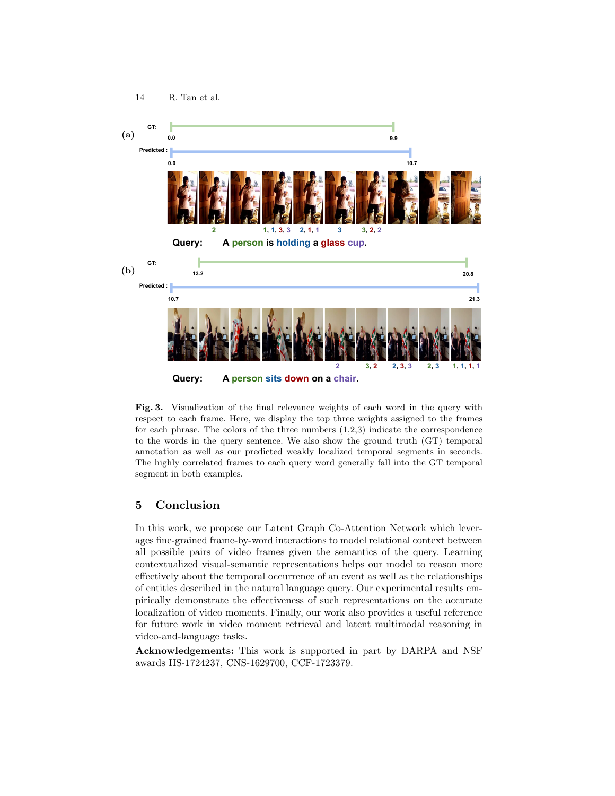

<span id="page-13-0"></span>Fig. 3. Visualization of the final relevance weights of each word in the query with respect to each frame. Here, we display the top three weights assigned to the frames for each phrase. The colors of the three numbers  $(1,2,3)$  indicate the correspondence to the words in the query sentence. We also show the ground truth (GT) temporal annotation as well as our predicted weakly localized temporal segments in seconds. The highly correlated frames to each query word generally fall into the GT temporal segment in both examples.

# 5 Conclusion

In this work, we propose our Latent Graph Co-Attention Network which leverages fine-grained frame-by-word interactions to model relational context between all possible pairs of video frames given the semantics of the query. Learning contextualized visual-semantic representations helps our model to reason more effectively about the temporal occurrence of an event as well as the relationships of entities described in the natural language query. Our experimental results empirically demonstrate the effectiveness of such representations on the accurate localization of video moments. Finally, our work also provides a useful reference for future work in video moment retrieval and latent multimodal reasoning in video-and-language tasks.

Acknowledgements: This work is supported in part by DARPA and NSF awards IIS-1724237, CNS-1629700, CCF-1723379.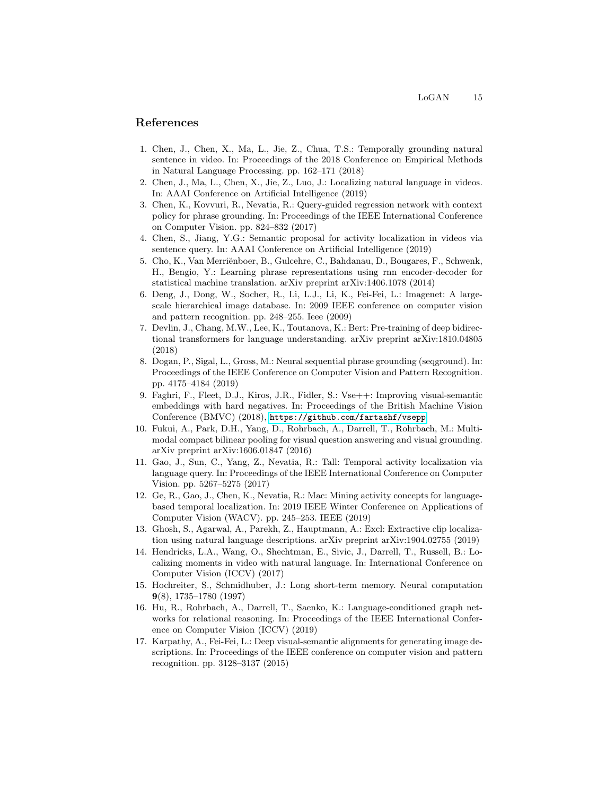## References

- <span id="page-14-2"></span>1. Chen, J., Chen, X., Ma, L., Jie, Z., Chua, T.S.: Temporally grounding natural sentence in video. In: Proceedings of the 2018 Conference on Empirical Methods in Natural Language Processing. pp. 162–171 (2018)
- <span id="page-14-5"></span>2. Chen, J., Ma, L., Chen, X., Jie, Z., Luo, J.: Localizing natural language in videos. In: AAAI Conference on Artificial Intelligence (2019)
- <span id="page-14-7"></span>3. Chen, K., Kovvuri, R., Nevatia, R.: Query-guided regression network with context policy for phrase grounding. In: Proceedings of the IEEE International Conference on Computer Vision. pp. 824–832 (2017)
- <span id="page-14-4"></span>4. Chen, S., Jiang, Y.G.: Semantic proposal for activity localization in videos via sentence query. In: AAAI Conference on Artificial Intelligence (2019)
- <span id="page-14-13"></span>5. Cho, K., Van Merriënboer, B., Gulcehre, C., Bahdanau, D., Bougares, F., Schwenk, H., Bengio, Y.: Learning phrase representations using rnn encoder-decoder for statistical machine translation. arXiv preprint arXiv:1406.1078 (2014)
- <span id="page-14-16"></span>6. Deng, J., Dong, W., Socher, R., Li, L.J., Li, K., Fei-Fei, L.: Imagenet: A largescale hierarchical image database. In: 2009 IEEE conference on computer vision and pattern recognition. pp. 248–255. Ieee (2009)
- <span id="page-14-14"></span>7. Devlin, J., Chang, M.W., Lee, K., Toutanova, K.: Bert: Pre-training of deep bidirectional transformers for language understanding. arXiv preprint arXiv:1810.04805 (2018)
- <span id="page-14-11"></span>8. Dogan, P., Sigal, L., Gross, M.: Neural sequential phrase grounding (seqground). In: Proceedings of the IEEE Conference on Computer Vision and Pattern Recognition. pp. 4175–4184 (2019)
- <span id="page-14-8"></span>9. Faghri, F., Fleet, D.J., Kiros, J.R., Fidler, S.: Vse++: Improving visual-semantic embeddings with hard negatives. In: Proceedings of the British Machine Vision Conference (BMVC) (2018), <https://github.com/fartashf/vsepp>
- <span id="page-14-10"></span>10. Fukui, A., Park, D.H., Yang, D., Rohrbach, A., Darrell, T., Rohrbach, M.: Multimodal compact bilinear pooling for visual question answering and visual grounding. arXiv preprint arXiv:1606.01847 (2016)
- <span id="page-14-0"></span>11. Gao, J., Sun, C., Yang, Z., Nevatia, R.: Tall: Temporal activity localization via language query. In: Proceedings of the IEEE International Conference on Computer Vision. pp. 5267–5275 (2017)
- <span id="page-14-6"></span>12. Ge, R., Gao, J., Chen, K., Nevatia, R.: Mac: Mining activity concepts for languagebased temporal localization. In: 2019 IEEE Winter Conference on Applications of Computer Vision (WACV). pp. 245–253. IEEE (2019)
- <span id="page-14-3"></span>13. Ghosh, S., Agarwal, A., Parekh, Z., Hauptmann, A.: Excl: Extractive clip localization using natural language descriptions. arXiv preprint arXiv:1904.02755 (2019)
- <span id="page-14-1"></span>14. Hendricks, L.A., Wang, O., Shechtman, E., Sivic, J., Darrell, T., Russell, B.: Localizing moments in video with natural language. In: International Conference on Computer Vision (ICCV) (2017)
- <span id="page-14-15"></span>15. Hochreiter, S., Schmidhuber, J.: Long short-term memory. Neural computation 9(8), 1735–1780 (1997)
- <span id="page-14-12"></span>16. Hu, R., Rohrbach, A., Darrell, T., Saenko, K.: Language-conditioned graph networks for relational reasoning. In: Proceedings of the IEEE International Conference on Computer Vision (ICCV) (2019)
- <span id="page-14-9"></span>17. Karpathy, A., Fei-Fei, L.: Deep visual-semantic alignments for generating image descriptions. In: Proceedings of the IEEE conference on computer vision and pattern recognition. pp. 3128–3137 (2015)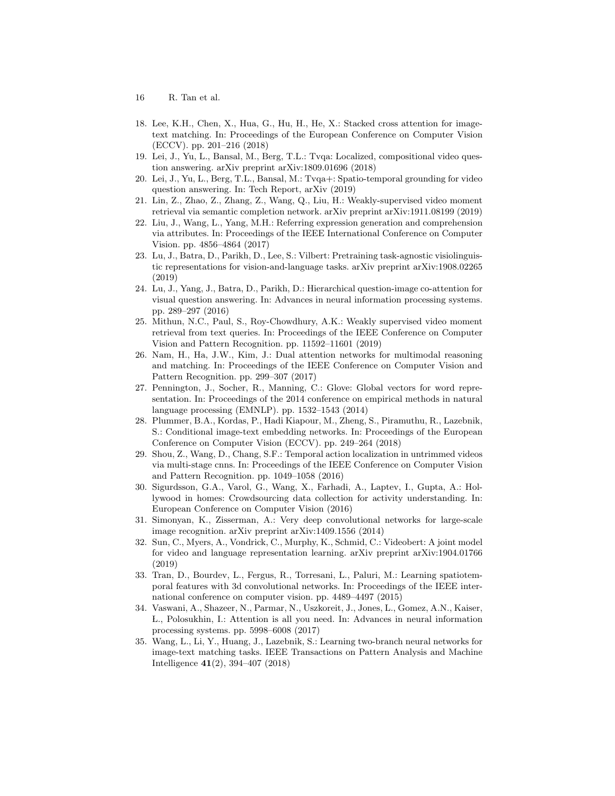- 16 R. Tan et al.
- <span id="page-15-10"></span>18. Lee, K.H., Chen, X., Hua, G., Hu, H., He, X.: Stacked cross attention for imagetext matching. In: Proceedings of the European Conference on Computer Vision (ECCV). pp. 201–216 (2018)
- <span id="page-15-11"></span>19. Lei, J., Yu, L., Bansal, M., Berg, T.L.: Tvqa: Localized, compositional video question answering. arXiv preprint arXiv:1809.01696 (2018)
- <span id="page-15-12"></span>20. Lei, J., Yu, L., Berg, T.L., Bansal, M.: Tvqa+: Spatio-temporal grounding for video question answering. In: Tech Report, arXiv (2019)
- <span id="page-15-1"></span>21. Lin, Z., Zhao, Z., Zhang, Z., Wang, Q., Liu, H.: Weakly-supervised video moment retrieval via semantic completion network. arXiv preprint arXiv:1911.08199 (2019)
- <span id="page-15-4"></span>22. Liu, J., Wang, L., Yang, M.H.: Referring expression generation and comprehension via attributes. In: Proceedings of the IEEE International Conference on Computer Vision. pp. 4856–4864 (2017)
- <span id="page-15-8"></span>23. Lu, J., Batra, D., Parikh, D., Lee, S.: Vilbert: Pretraining task-agnostic visiolinguistic representations for vision-and-language tasks. arXiv preprint arXiv:1908.02265 (2019)
- <span id="page-15-9"></span>24. Lu, J., Yang, J., Batra, D., Parikh, D.: Hierarchical question-image co-attention for visual question answering. In: Advances in neural information processing systems. pp. 289–297 (2016)
- <span id="page-15-0"></span>25. Mithun, N.C., Paul, S., Roy-Chowdhury, A.K.: Weakly supervised video moment retrieval from text queries. In: Proceedings of the IEEE Conference on Computer Vision and Pattern Recognition. pp. 11592–11601 (2019)
- <span id="page-15-5"></span>26. Nam, H., Ha, J.W., Kim, J.: Dual attention networks for multimodal reasoning and matching. In: Proceedings of the IEEE Conference on Computer Vision and Pattern Recognition. pp. 299–307 (2017)
- <span id="page-15-13"></span>27. Pennington, J., Socher, R., Manning, C.: Glove: Global vectors for word representation. In: Proceedings of the 2014 conference on empirical methods in natural language processing (EMNLP). pp. 1532–1543 (2014)
- <span id="page-15-6"></span>28. Plummer, B.A., Kordas, P., Hadi Kiapour, M., Zheng, S., Piramuthu, R., Lazebnik, S.: Conditional image-text embedding networks. In: Proceedings of the European Conference on Computer Vision (ECCV). pp. 249–264 (2018)
- <span id="page-15-3"></span>29. Shou, Z., Wang, D., Chang, S.F.: Temporal action localization in untrimmed videos via multi-stage cnns. In: Proceedings of the IEEE Conference on Computer Vision and Pattern Recognition. pp. 1049–1058 (2016)
- <span id="page-15-15"></span>30. Sigurdsson, G.A., Varol, G., Wang, X., Farhadi, A., Laptev, I., Gupta, A.: Hollywood in homes: Crowdsourcing data collection for activity understanding. In: European Conference on Computer Vision (2016)
- <span id="page-15-16"></span>31. Simonyan, K., Zisserman, A.: Very deep convolutional networks for large-scale image recognition. arXiv preprint arXiv:1409.1556 (2014)
- <span id="page-15-7"></span>32. Sun, C., Myers, A., Vondrick, C., Murphy, K., Schmid, C.: Videobert: A joint model for video and language representation learning. arXiv preprint arXiv:1904.01766 (2019)
- <span id="page-15-17"></span>33. Tran, D., Bourdev, L., Fergus, R., Torresani, L., Paluri, M.: Learning spatiotemporal features with 3d convolutional networks. In: Proceedings of the IEEE international conference on computer vision. pp. 4489–4497 (2015)
- <span id="page-15-2"></span>34. Vaswani, A., Shazeer, N., Parmar, N., Uszkoreit, J., Jones, L., Gomez, A.N., Kaiser, L., Polosukhin, I.: Attention is all you need. In: Advances in neural information processing systems. pp. 5998–6008 (2017)
- <span id="page-15-14"></span>35. Wang, L., Li, Y., Huang, J., Lazebnik, S.: Learning two-branch neural networks for image-text matching tasks. IEEE Transactions on Pattern Analysis and Machine Intelligence 41(2), 394–407 (2018)